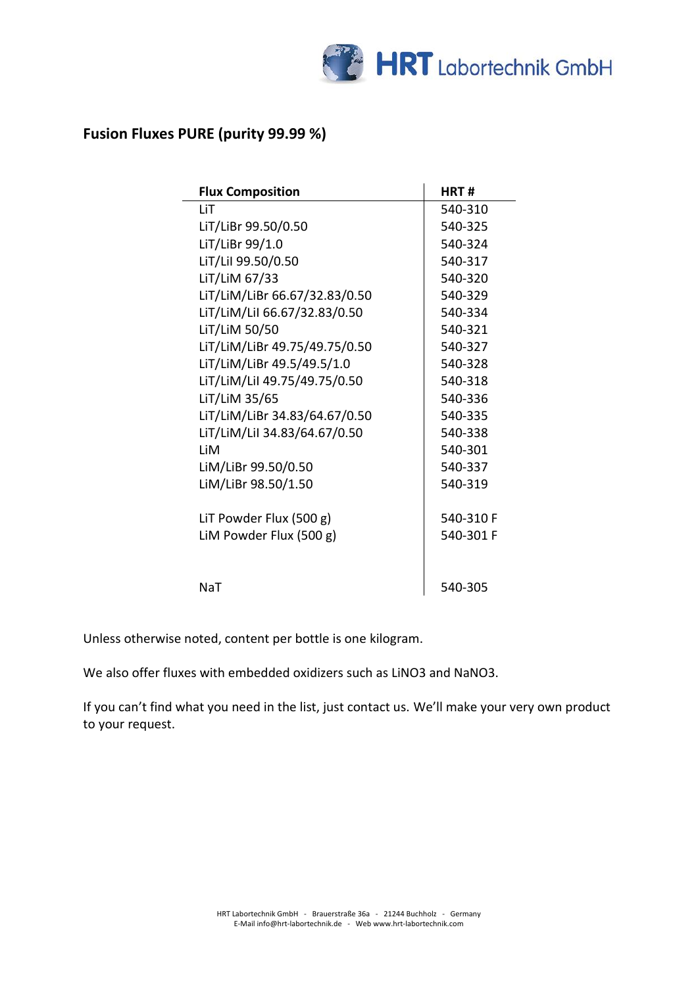

## **Fusion Fluxes PURE (purity 99.99 %)**

| <b>Flux Composition</b>       | HRT#      |
|-------------------------------|-----------|
| LiT                           | 540-310   |
| LiT/LiBr 99.50/0.50           | 540-325   |
| LiT/LiBr 99/1.0               | 540-324   |
| LiT/LiI 99.50/0.50            | 540-317   |
| LiT/LiM 67/33                 | 540-320   |
| LiT/LiM/LiBr 66.67/32.83/0.50 | 540-329   |
| LiT/LiM/Lil 66.67/32.83/0.50  | 540-334   |
| LiT/LiM 50/50                 | 540-321   |
| LiT/LiM/LiBr 49.75/49.75/0.50 | 540-327   |
| LiT/LiM/LiBr 49.5/49.5/1.0    | 540-328   |
| LiT/LiM/LiI 49.75/49.75/0.50  | 540-318   |
| LiT/LiM 35/65                 | 540-336   |
| LiT/LiM/LiBr 34.83/64.67/0.50 | 540-335   |
| LiT/LiM/LiI 34.83/64.67/0.50  | 540-338   |
| l iM                          | 540-301   |
| LiM/LiBr 99.50/0.50           | 540-337   |
| LiM/LiBr 98.50/1.50           | 540-319   |
| LIT Powder Flux (500 g)       | 540-310 F |
| LiM Powder Flux (500 g)       | 540-301 F |
|                               |           |
| NaT                           | 540-305   |

Unless otherwise noted, content per bottle is one kilogram.

We also offer fluxes with embedded oxidizers such as LiNO3 and NaNO3.

If you can't find what you need in the list, just contact us. We'll make your very own product to your request.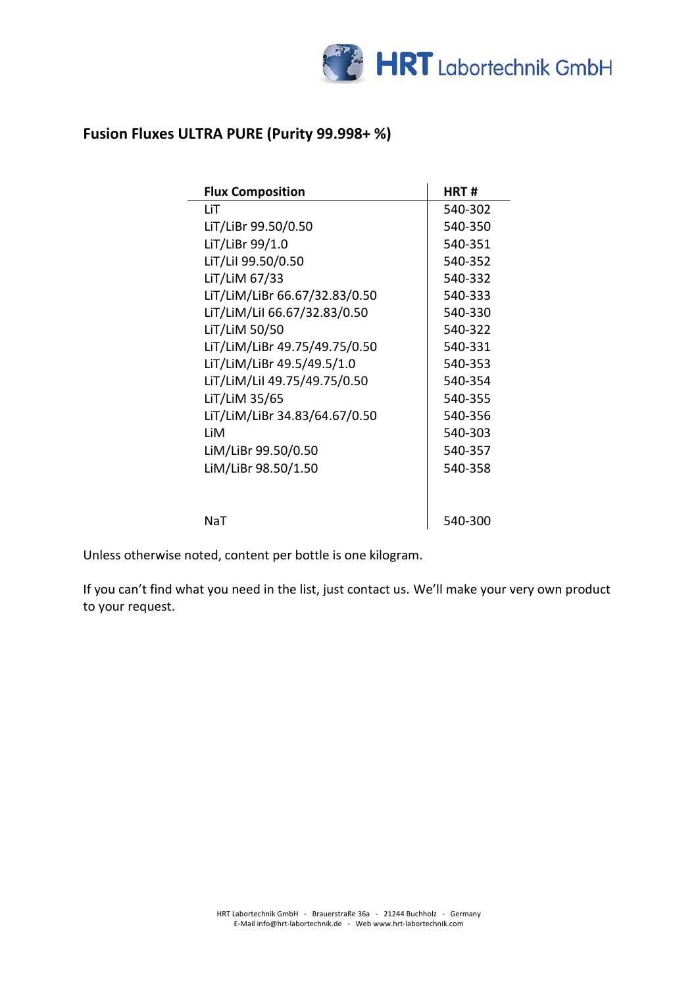

## **Fusion Fluxes ULTRA PURE (Purity 99.998+ %)**

| <b>Flux Composition</b>       | HRT #   |
|-------------------------------|---------|
| LiT                           | 540-302 |
| LiT/LiBr 99.50/0.50           | 540-350 |
| LiT/LiBr 99/1.0               | 540-351 |
| LiT/Lil 99.50/0.50            | 540-352 |
| LiT/LiM 67/33                 | 540-332 |
| LiT/LiM/LiBr 66.67/32.83/0.50 | 540-333 |
| LiT/LiM/LiI 66.67/32.83/0.50  | 540-330 |
| LiT/LiM 50/50                 | 540-322 |
| LiT/LiM/LiBr 49.75/49.75/0.50 | 540-331 |
| LiT/LiM/LiBr 49.5/49.5/1.0    | 540-353 |
| LiT/LiM/LiI 49.75/49.75/0.50  | 540-354 |
| LiT/LiM 35/65                 | 540-355 |
| LiT/LiM/LiBr 34.83/64.67/0.50 | 540-356 |
| LiM                           | 540-303 |
| LiM/LiBr 99.50/0.50           | 540-357 |
| LiM/LiBr 98.50/1.50           | 540-358 |
|                               |         |
| NaT                           | 540-300 |

Unless otherwise noted, content per bottle is one kilogram.

If you can't find what you need in the list, just contact us. We'll make your very own product to your request.